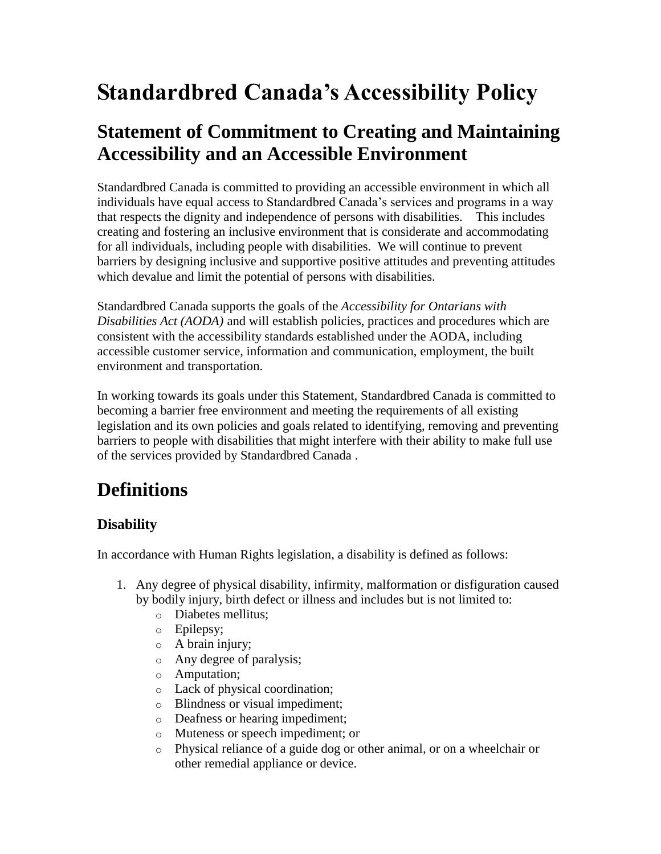# **Standardbred Canada's Accessibility Policy**

## **Statement of Commitment to Creating and Maintaining Accessibility and an Accessible Environment**

Standardbred Canada is committed to providing an accessible environment in which all individuals have equal access to Standardbred Canada's services and programs in a way that respects the dignity and independence of persons with disabilities. This includes creating and fostering an inclusive environment that is considerate and accommodating for all individuals, including people with disabilities. We will continue to prevent barriers by designing inclusive and supportive positive attitudes and preventing attitudes which devalue and limit the potential of persons with disabilities.

Standardbred Canada supports the goals of the *Accessibility for Ontarians with Disabilities Act (AODA)* and will establish policies, practices and procedures which are consistent with the accessibility standards established under the AODA, including accessible customer service, information and communication, employment, the built environment and transportation.

In working towards its goals under this Statement, Standardbred Canada is committed to becoming a barrier free environment and meeting the requirements of all existing legislation and its own policies and goals related to identifying, removing and preventing barriers to people with disabilities that might interfere with their ability to make full use of the services provided by Standardbred Canada .

# **Definitions**

## **Disability**

In accordance with Human Rights legislation, a disability is defined as follows:

- 1. Any degree of physical disability, infirmity, malformation or disfiguration caused by bodily injury, birth defect or illness and includes but is not limited to:
	- o Diabetes mellitus;
	- o Epilepsy;
	- o A brain injury;
	- o Any degree of paralysis;
	- o Amputation;
	- o Lack of physical coordination;
	- o Blindness or visual impediment;
	- o Deafness or hearing impediment;
	- o Muteness or speech impediment; or
	- o Physical reliance of a guide dog or other animal, or on a wheelchair or other remedial appliance or device.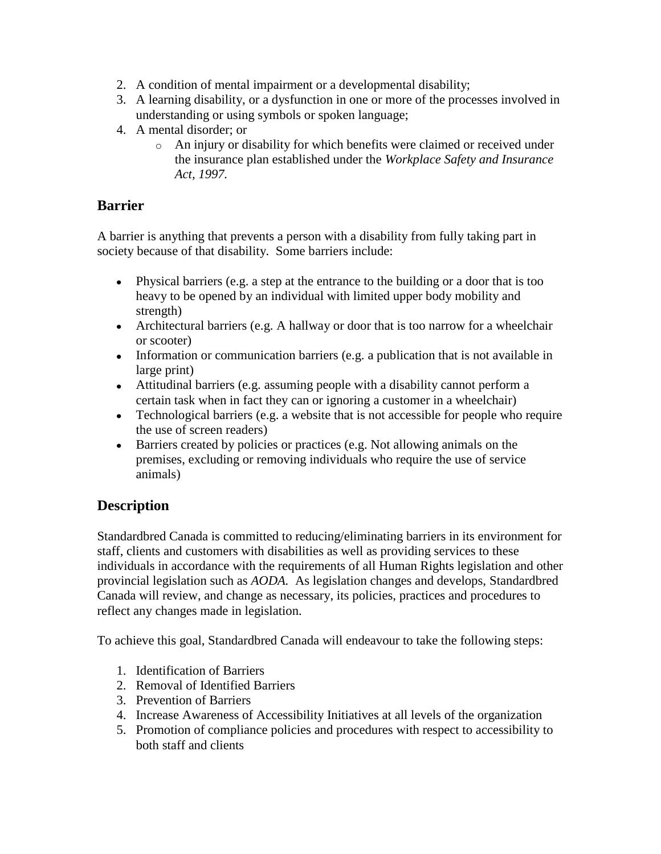- 2. A condition of mental impairment or a developmental disability;
- 3. A learning disability, or a dysfunction in one or more of the processes involved in understanding or using symbols or spoken language;
- 4. A mental disorder; or
	- o An injury or disability for which benefits were claimed or received under the insurance plan established under the *Workplace Safety and Insurance Act, 1997.*

## **Barrier**

A barrier is anything that prevents a person with a disability from fully taking part in society because of that disability. Some barriers include:

- Physical barriers (e.g. a step at the entrance to the building or a door that is too heavy to be opened by an individual with limited upper body mobility and strength)
- Architectural barriers (e.g. A hallway or door that is too narrow for a wheelchair or scooter)
- Information or communication barriers (e.g. a publication that is not available in large print)
- Attitudinal barriers (e.g. assuming people with a disability cannot perform a certain task when in fact they can or ignoring a customer in a wheelchair)
- Technological barriers (e.g. a website that is not accessible for people who require the use of screen readers)
- Barriers created by policies or practices (e.g. Not allowing animals on the premises, excluding or removing individuals who require the use of service animals)

## **Description**

Standardbred Canada is committed to reducing/eliminating barriers in its environment for staff, clients and customers with disabilities as well as providing services to these individuals in accordance with the requirements of all Human Rights legislation and other provincial legislation such as *AODA.* As legislation changes and develops, Standardbred Canada will review, and change as necessary, its policies, practices and procedures to reflect any changes made in legislation.

To achieve this goal, Standardbred Canada will endeavour to take the following steps:

- 1. Identification of Barriers
- 2. Removal of Identified Barriers
- 3. Prevention of Barriers
- 4. Increase Awareness of Accessibility Initiatives at all levels of the organization
- 5. Promotion of compliance policies and procedures with respect to accessibility to both staff and clients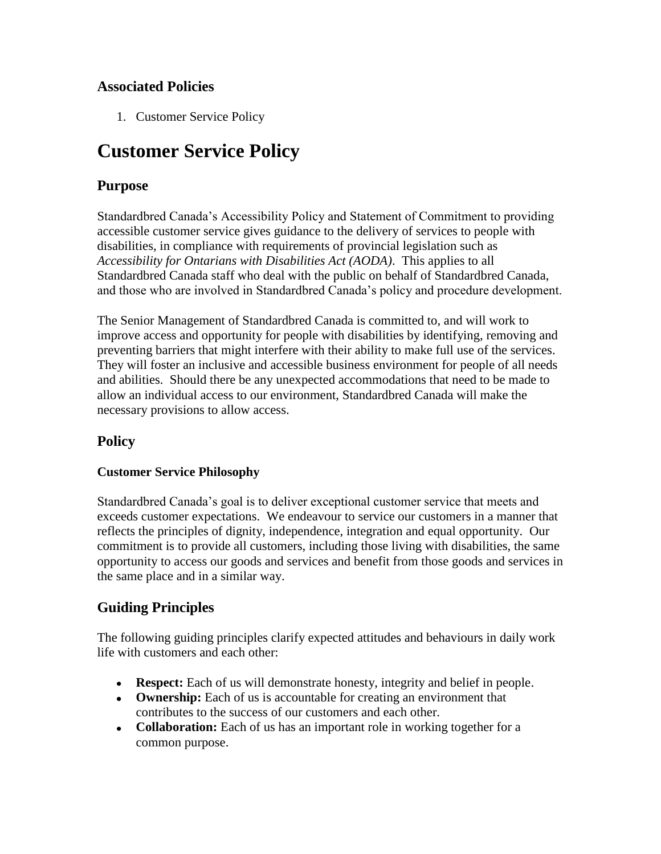## **Associated Policies**

1. Customer Service Policy

## **Customer Service Policy**

#### **Purpose**

Standardbred Canada's Accessibility Policy and Statement of Commitment to providing accessible customer service gives guidance to the delivery of services to people with disabilities, in compliance with requirements of provincial legislation such as *Accessibility for Ontarians with Disabilities Act (AODA)*. This applies to all Standardbred Canada staff who deal with the public on behalf of Standardbred Canada, and those who are involved in Standardbred Canada's policy and procedure development.

The Senior Management of Standardbred Canada is committed to, and will work to improve access and opportunity for people with disabilities by identifying, removing and preventing barriers that might interfere with their ability to make full use of the services. They will foster an inclusive and accessible business environment for people of all needs and abilities. Should there be any unexpected accommodations that need to be made to allow an individual access to our environment, Standardbred Canada will make the necessary provisions to allow access.

## **Policy**

#### **Customer Service Philosophy**

Standardbred Canada's goal is to deliver exceptional customer service that meets and exceeds customer expectations. We endeavour to service our customers in a manner that reflects the principles of dignity, independence, integration and equal opportunity. Our commitment is to provide all customers, including those living with disabilities, the same opportunity to access our goods and services and benefit from those goods and services in the same place and in a similar way.

#### **Guiding Principles**

The following guiding principles clarify expected attitudes and behaviours in daily work life with customers and each other:

- **Respect:** Each of us will demonstrate honesty, integrity and belief in people.
- **Ownership:** Each of us is accountable for creating an environment that contributes to the success of our customers and each other.
- **Collaboration:** Each of us has an important role in working together for a common purpose.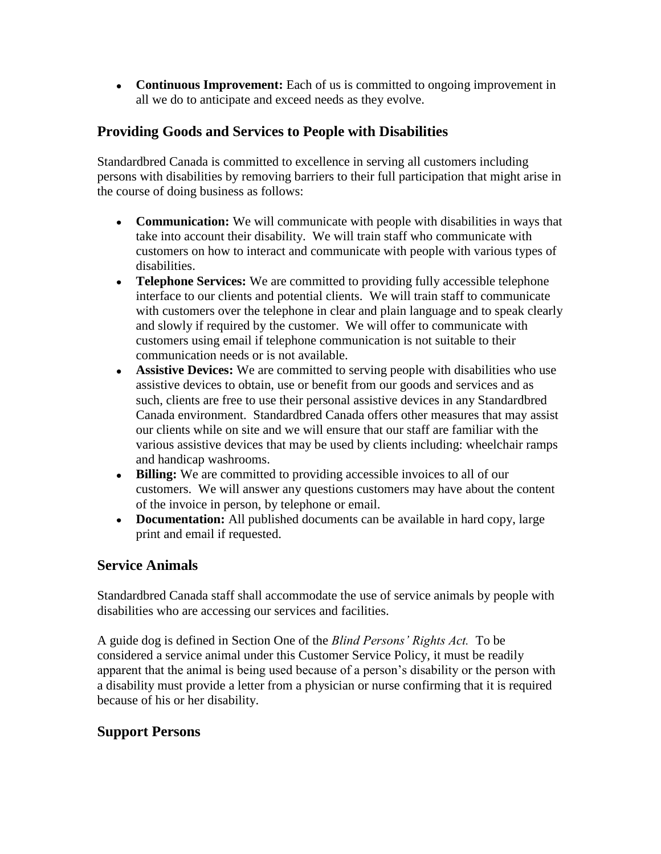**Continuous Improvement:** Each of us is committed to ongoing improvement in all we do to anticipate and exceed needs as they evolve.

## **Providing Goods and Services to People with Disabilities**

Standardbred Canada is committed to excellence in serving all customers including persons with disabilities by removing barriers to their full participation that might arise in the course of doing business as follows:

- **Communication:** We will communicate with people with disabilities in ways that take into account their disability. We will train staff who communicate with customers on how to interact and communicate with people with various types of disabilities.
- **Telephone Services:** We are committed to providing fully accessible telephone interface to our clients and potential clients. We will train staff to communicate with customers over the telephone in clear and plain language and to speak clearly and slowly if required by the customer. We will offer to communicate with customers using email if telephone communication is not suitable to their communication needs or is not available.
- **Assistive Devices:** We are committed to serving people with disabilities who use assistive devices to obtain, use or benefit from our goods and services and as such, clients are free to use their personal assistive devices in any Standardbred Canada environment. Standardbred Canada offers other measures that may assist our clients while on site and we will ensure that our staff are familiar with the various assistive devices that may be used by clients including: wheelchair ramps and handicap washrooms.
- **Billing:** We are committed to providing accessible invoices to all of our customers. We will answer any questions customers may have about the content of the invoice in person, by telephone or email.
- **Documentation:** All published documents can be available in hard copy, large print and email if requested.

## **Service Animals**

Standardbred Canada staff shall accommodate the use of service animals by people with disabilities who are accessing our services and facilities.

A guide dog is defined in Section One of the *Blind Persons' Rights Act.* To be considered a service animal under this Customer Service Policy, it must be readily apparent that the animal is being used because of a person's disability or the person with a disability must provide a letter from a physician or nurse confirming that it is required because of his or her disability.

## **Support Persons**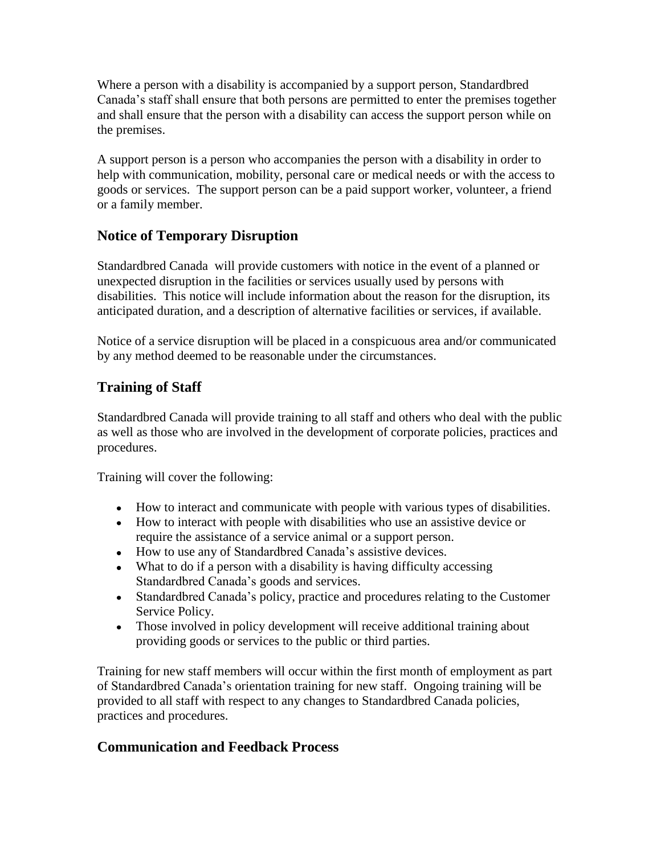Where a person with a disability is accompanied by a support person, Standardbred Canada's staff shall ensure that both persons are permitted to enter the premises together and shall ensure that the person with a disability can access the support person while on the premises.

A support person is a person who accompanies the person with a disability in order to help with communication, mobility, personal care or medical needs or with the access to goods or services. The support person can be a paid support worker, volunteer, a friend or a family member.

## **Notice of Temporary Disruption**

Standardbred Canada will provide customers with notice in the event of a planned or unexpected disruption in the facilities or services usually used by persons with disabilities. This notice will include information about the reason for the disruption, its anticipated duration, and a description of alternative facilities or services, if available.

Notice of a service disruption will be placed in a conspicuous area and/or communicated by any method deemed to be reasonable under the circumstances.

## **Training of Staff**

Standardbred Canada will provide training to all staff and others who deal with the public as well as those who are involved in the development of corporate policies, practices and procedures.

Training will cover the following:

- How to interact and communicate with people with various types of disabilities.
- How to interact with people with disabilities who use an assistive device or require the assistance of a service animal or a support person.
- How to use any of Standardbred Canada's assistive devices.
- What to do if a person with a disability is having difficulty accessing Standardbred Canada's goods and services.
- Standardbred Canada's policy, practice and procedures relating to the Customer Service Policy.
- Those involved in policy development will receive additional training about providing goods or services to the public or third parties.

Training for new staff members will occur within the first month of employment as part of Standardbred Canada's orientation training for new staff. Ongoing training will be provided to all staff with respect to any changes to Standardbred Canada policies, practices and procedures.

## **Communication and Feedback Process**